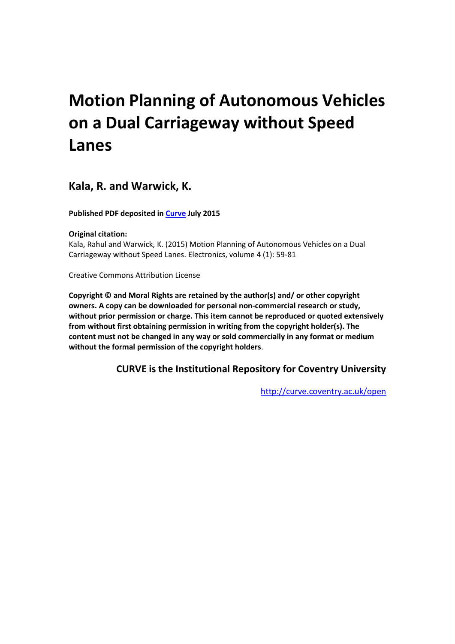# **Motion Planning of Autonomous Vehicles on a Dual Carriageway without Speed Lanes**

### **Kala, R. and Warwick, K.**

**Published PDF deposited in [Curve](http://curve.coventry.ac.uk/open) July 2015**

**Original citation:**

Kala, Rahul and Warwick, K. (2015) Motion Planning of Autonomous Vehicles on a Dual Carriageway without Speed Lanes. Electronics, volume 4 (1): 59-81

Creative Commons Attribution License

**Copyright © and Moral Rights are retained by the author(s) and/ or other copyright owners. A copy can be downloaded for personal non-commercial research or study, without prior permission or charge. This item cannot be reproduced or quoted extensively from without first obtaining permission in writing from the copyright holder(s). The content must not be changed in any way or sold commercially in any format or medium without the formal permission of the copyright holders**.

**CURVE is the Institutional Repository for Coventry University**

<http://curve.coventry.ac.uk/open>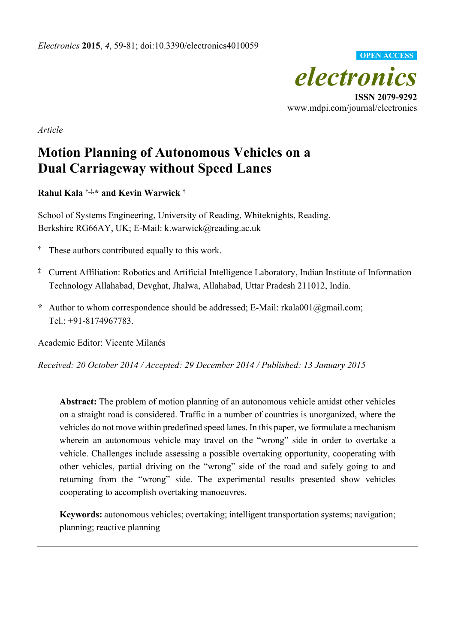

www.mdpi.com/journal/electronics

*Article* 

# **Motion Planning of Autonomous Vehicles on a Dual Carriageway without Speed Lanes**

**Rahul Kala †,‡,\* and Kevin Warwick †**

School of Systems Engineering, University of Reading, Whiteknights, Reading, Berkshire RG66AY, UK; E-Mail: k.warwick@reading.ac.uk

- **†** These authors contributed equally to this work.
- **‡** Current Affiliation: Robotics and Artificial Intelligence Laboratory, Indian Institute of Information Technology Allahabad, Devghat, Jhalwa, Allahabad, Uttar Pradesh 211012, India.
- **\*** Author to whom correspondence should be addressed; E-Mail: rkala001@gmail.com; Tel.: +91-8174967783.

Academic Editor: Vicente Milanés

*Received: 20 October 2014 / Accepted: 29 December 2014 / Published: 13 January 2015* 

**Abstract:** The problem of motion planning of an autonomous vehicle amidst other vehicles on a straight road is considered. Traffic in a number of countries is unorganized, where the vehicles do not move within predefined speed lanes. In this paper, we formulate a mechanism wherein an autonomous vehicle may travel on the "wrong" side in order to overtake a vehicle. Challenges include assessing a possible overtaking opportunity, cooperating with other vehicles, partial driving on the "wrong" side of the road and safely going to and returning from the "wrong" side. The experimental results presented show vehicles cooperating to accomplish overtaking manoeuvres.

**Keywords:** autonomous vehicles; overtaking; intelligent transportation systems; navigation; planning; reactive planning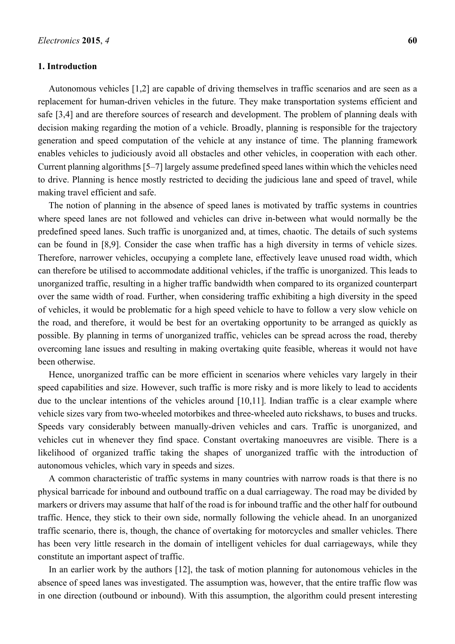#### **1. Introduction**

Autonomous vehicles [1,2] are capable of driving themselves in traffic scenarios and are seen as a replacement for human-driven vehicles in the future. They make transportation systems efficient and safe [3,4] and are therefore sources of research and development. The problem of planning deals with decision making regarding the motion of a vehicle. Broadly, planning is responsible for the trajectory generation and speed computation of the vehicle at any instance of time. The planning framework enables vehicles to judiciously avoid all obstacles and other vehicles, in cooperation with each other. Current planning algorithms [5–7] largely assume predefined speed lanes within which the vehicles need to drive. Planning is hence mostly restricted to deciding the judicious lane and speed of travel, while making travel efficient and safe.

The notion of planning in the absence of speed lanes is motivated by traffic systems in countries where speed lanes are not followed and vehicles can drive in-between what would normally be the predefined speed lanes. Such traffic is unorganized and, at times, chaotic. The details of such systems can be found in [8,9]. Consider the case when traffic has a high diversity in terms of vehicle sizes. Therefore, narrower vehicles, occupying a complete lane, effectively leave unused road width, which can therefore be utilised to accommodate additional vehicles, if the traffic is unorganized. This leads to unorganized traffic, resulting in a higher traffic bandwidth when compared to its organized counterpart over the same width of road. Further, when considering traffic exhibiting a high diversity in the speed of vehicles, it would be problematic for a high speed vehicle to have to follow a very slow vehicle on the road, and therefore, it would be best for an overtaking opportunity to be arranged as quickly as possible. By planning in terms of unorganized traffic, vehicles can be spread across the road, thereby overcoming lane issues and resulting in making overtaking quite feasible, whereas it would not have been otherwise.

Hence, unorganized traffic can be more efficient in scenarios where vehicles vary largely in their speed capabilities and size. However, such traffic is more risky and is more likely to lead to accidents due to the unclear intentions of the vehicles around [10,11]. Indian traffic is a clear example where vehicle sizes vary from two-wheeled motorbikes and three-wheeled auto rickshaws, to buses and trucks. Speeds vary considerably between manually-driven vehicles and cars. Traffic is unorganized, and vehicles cut in whenever they find space. Constant overtaking manoeuvres are visible. There is a likelihood of organized traffic taking the shapes of unorganized traffic with the introduction of autonomous vehicles, which vary in speeds and sizes.

A common characteristic of traffic systems in many countries with narrow roads is that there is no physical barricade for inbound and outbound traffic on a dual carriageway. The road may be divided by markers or drivers may assume that half of the road is for inbound traffic and the other half for outbound traffic. Hence, they stick to their own side, normally following the vehicle ahead. In an unorganized traffic scenario, there is, though, the chance of overtaking for motorcycles and smaller vehicles. There has been very little research in the domain of intelligent vehicles for dual carriageways, while they constitute an important aspect of traffic.

In an earlier work by the authors [12], the task of motion planning for autonomous vehicles in the absence of speed lanes was investigated. The assumption was, however, that the entire traffic flow was in one direction (outbound or inbound). With this assumption, the algorithm could present interesting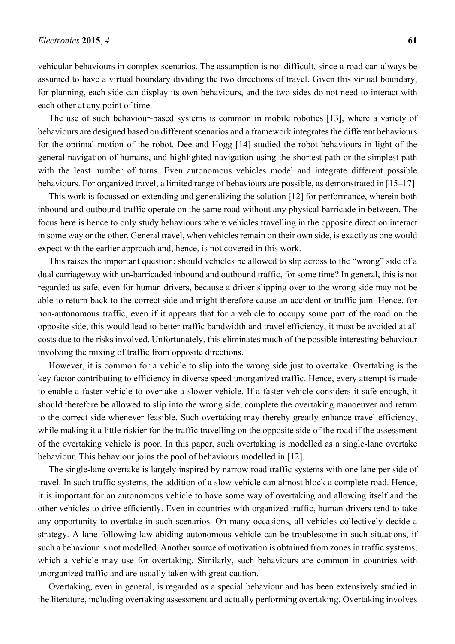vehicular behaviours in complex scenarios. The assumption is not difficult, since a road can always be assumed to have a virtual boundary dividing the two directions of travel. Given this virtual boundary, for planning, each side can display its own behaviours, and the two sides do not need to interact with each other at any point of time.

The use of such behaviour-based systems is common in mobile robotics [13], where a variety of behaviours are designed based on different scenarios and a framework integrates the different behaviours for the optimal motion of the robot. Dee and Hogg [14] studied the robot behaviours in light of the general navigation of humans, and highlighted navigation using the shortest path or the simplest path with the least number of turns. Even autonomous vehicles model and integrate different possible behaviours. For organized travel, a limited range of behaviours are possible, as demonstrated in [15–17].

This work is focussed on extending and generalizing the solution [12] for performance, wherein both inbound and outbound traffic operate on the same road without any physical barricade in between. The focus here is hence to only study behaviours where vehicles travelling in the opposite direction interact in some way or the other. General travel, when vehicles remain on their own side, is exactly as one would expect with the earlier approach and, hence, is not covered in this work.

This raises the important question: should vehicles be allowed to slip across to the "wrong" side of a dual carriageway with un-barricaded inbound and outbound traffic, for some time? In general, this is not regarded as safe, even for human drivers, because a driver slipping over to the wrong side may not be able to return back to the correct side and might therefore cause an accident or traffic jam. Hence, for non-autonomous traffic, even if it appears that for a vehicle to occupy some part of the road on the opposite side, this would lead to better traffic bandwidth and travel efficiency, it must be avoided at all costs due to the risks involved. Unfortunately, this eliminates much of the possible interesting behaviour involving the mixing of traffic from opposite directions.

However, it is common for a vehicle to slip into the wrong side just to overtake. Overtaking is the key factor contributing to efficiency in diverse speed unorganized traffic. Hence, every attempt is made to enable a faster vehicle to overtake a slower vehicle. If a faster vehicle considers it safe enough, it should therefore be allowed to slip into the wrong side, complete the overtaking manoeuver and return to the correct side whenever feasible. Such overtaking may thereby greatly enhance travel efficiency, while making it a little riskier for the traffic travelling on the opposite side of the road if the assessment of the overtaking vehicle is poor. In this paper, such overtaking is modelled as a single-lane overtake behaviour. This behaviour joins the pool of behaviours modelled in [12].

The single-lane overtake is largely inspired by narrow road traffic systems with one lane per side of travel. In such traffic systems, the addition of a slow vehicle can almost block a complete road. Hence, it is important for an autonomous vehicle to have some way of overtaking and allowing itself and the other vehicles to drive efficiently. Even in countries with organized traffic, human drivers tend to take any opportunity to overtake in such scenarios. On many occasions, all vehicles collectively decide a strategy. A lane-following law-abiding autonomous vehicle can be troublesome in such situations, if such a behaviour is not modelled. Another source of motivation is obtained from zones in traffic systems, which a vehicle may use for overtaking. Similarly, such behaviours are common in countries with unorganized traffic and are usually taken with great caution.

Overtaking, even in general, is regarded as a special behaviour and has been extensively studied in the literature, including overtaking assessment and actually performing overtaking. Overtaking involves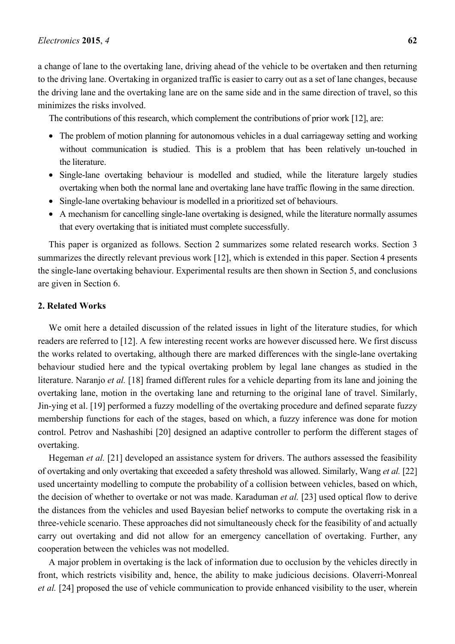a change of lane to the overtaking lane, driving ahead of the vehicle to be overtaken and then returning to the driving lane. Overtaking in organized traffic is easier to carry out as a set of lane changes, because the driving lane and the overtaking lane are on the same side and in the same direction of travel, so this minimizes the risks involved.

The contributions of this research, which complement the contributions of prior work [12], are:

- The problem of motion planning for autonomous vehicles in a dual carriageway setting and working without communication is studied. This is a problem that has been relatively un-touched in the literature.
- Single-lane overtaking behaviour is modelled and studied, while the literature largely studies overtaking when both the normal lane and overtaking lane have traffic flowing in the same direction.
- Single-lane overtaking behaviour is modelled in a prioritized set of behaviours.
- A mechanism for cancelling single-lane overtaking is designed, while the literature normally assumes that every overtaking that is initiated must complete successfully.

This paper is organized as follows. Section 2 summarizes some related research works. Section 3 summarizes the directly relevant previous work [12], which is extended in this paper. Section 4 presents the single-lane overtaking behaviour. Experimental results are then shown in Section 5, and conclusions are given in Section 6.

#### **2. Related Works**

We omit here a detailed discussion of the related issues in light of the literature studies, for which readers are referred to [12]. A few interesting recent works are however discussed here. We first discuss the works related to overtaking, although there are marked differences with the single-lane overtaking behaviour studied here and the typical overtaking problem by legal lane changes as studied in the literature. Naranjo *et al.* [18] framed different rules for a vehicle departing from its lane and joining the overtaking lane, motion in the overtaking lane and returning to the original lane of travel. Similarly, Jin-ying et al. [19] performed a fuzzy modelling of the overtaking procedure and defined separate fuzzy membership functions for each of the stages, based on which, a fuzzy inference was done for motion control. Petrov and Nashashibi [20] designed an adaptive controller to perform the different stages of overtaking.

Hegeman *et al.* [21] developed an assistance system for drivers. The authors assessed the feasibility of overtaking and only overtaking that exceeded a safety threshold was allowed. Similarly, Wang *et al.* [22] used uncertainty modelling to compute the probability of a collision between vehicles, based on which, the decision of whether to overtake or not was made. Karaduman *et al.* [23] used optical flow to derive the distances from the vehicles and used Bayesian belief networks to compute the overtaking risk in a three-vehicle scenario. These approaches did not simultaneously check for the feasibility of and actually carry out overtaking and did not allow for an emergency cancellation of overtaking. Further, any cooperation between the vehicles was not modelled.

A major problem in overtaking is the lack of information due to occlusion by the vehicles directly in front, which restricts visibility and, hence, the ability to make judicious decisions. Olaverri-Monreal *et al.* [24] proposed the use of vehicle communication to provide enhanced visibility to the user, wherein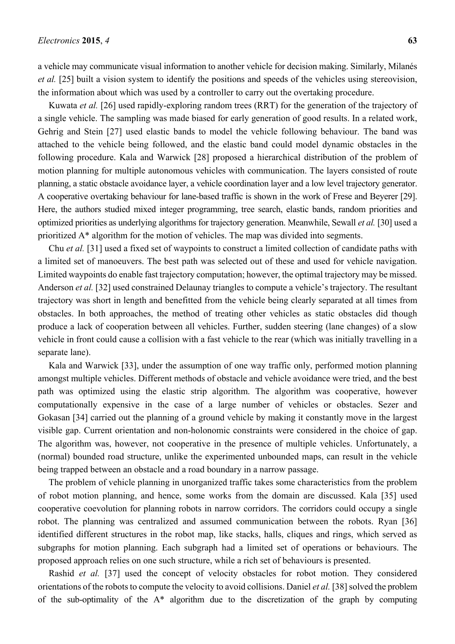a vehicle may communicate visual information to another vehicle for decision making. Similarly, Milanés *et al.* [25] built a vision system to identify the positions and speeds of the vehicles using stereovision, the information about which was used by a controller to carry out the overtaking procedure.

Kuwata *et al.* [26] used rapidly-exploring random trees (RRT) for the generation of the trajectory of a single vehicle. The sampling was made biased for early generation of good results. In a related work, Gehrig and Stein [27] used elastic bands to model the vehicle following behaviour. The band was attached to the vehicle being followed, and the elastic band could model dynamic obstacles in the following procedure. Kala and Warwick [28] proposed a hierarchical distribution of the problem of motion planning for multiple autonomous vehicles with communication. The layers consisted of route planning, a static obstacle avoidance layer, a vehicle coordination layer and a low level trajectory generator. A cooperative overtaking behaviour for lane-based traffic is shown in the work of Frese and Beyerer [29]. Here, the authors studied mixed integer programming, tree search, elastic bands, random priorities and optimized priorities as underlying algorithms for trajectory generation. Meanwhile, Sewall *et al.* [30] used a prioritized A\* algorithm for the motion of vehicles. The map was divided into segments.

Chu *et al.* [31] used a fixed set of waypoints to construct a limited collection of candidate paths with a limited set of manoeuvers. The best path was selected out of these and used for vehicle navigation. Limited waypoints do enable fast trajectory computation; however, the optimal trajectory may be missed. Anderson *et al.* [32] used constrained Delaunay triangles to compute a vehicle's trajectory. The resultant trajectory was short in length and benefitted from the vehicle being clearly separated at all times from obstacles. In both approaches, the method of treating other vehicles as static obstacles did though produce a lack of cooperation between all vehicles. Further, sudden steering (lane changes) of a slow vehicle in front could cause a collision with a fast vehicle to the rear (which was initially travelling in a separate lane).

Kala and Warwick [33], under the assumption of one way traffic only, performed motion planning amongst multiple vehicles. Different methods of obstacle and vehicle avoidance were tried, and the best path was optimized using the elastic strip algorithm. The algorithm was cooperative, however computationally expensive in the case of a large number of vehicles or obstacles. Sezer and Gokasan [34] carried out the planning of a ground vehicle by making it constantly move in the largest visible gap. Current orientation and non-holonomic constraints were considered in the choice of gap. The algorithm was, however, not cooperative in the presence of multiple vehicles. Unfortunately, a (normal) bounded road structure, unlike the experimented unbounded maps, can result in the vehicle being trapped between an obstacle and a road boundary in a narrow passage.

The problem of vehicle planning in unorganized traffic takes some characteristics from the problem of robot motion planning, and hence, some works from the domain are discussed. Kala [35] used cooperative coevolution for planning robots in narrow corridors. The corridors could occupy a single robot. The planning was centralized and assumed communication between the robots. Ryan [36] identified different structures in the robot map, like stacks, halls, cliques and rings, which served as subgraphs for motion planning. Each subgraph had a limited set of operations or behaviours. The proposed approach relies on one such structure, while a rich set of behaviours is presented.

Rashid *et al.* [37] used the concept of velocity obstacles for robot motion. They considered orientations of the robots to compute the velocity to avoid collisions. Daniel *et al.* [38] solved the problem of the sub-optimality of the  $A^*$  algorithm due to the discretization of the graph by computing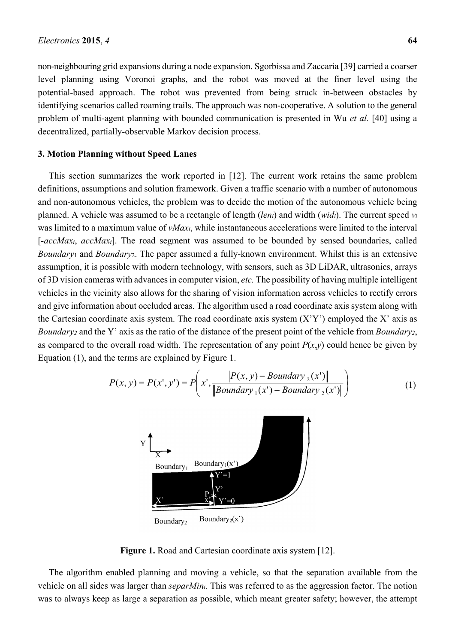non-neighbouring grid expansions during a node expansion. Sgorbissa and Zaccaria [39] carried a coarser level planning using Voronoi graphs, and the robot was moved at the finer level using the potential-based approach. The robot was prevented from being struck in-between obstacles by identifying scenarios called roaming trails. The approach was non-cooperative. A solution to the general problem of multi-agent planning with bounded communication is presented in Wu *et al.* [40] using a decentralized, partially-observable Markov decision process.

#### **3. Motion Planning without Speed Lanes**

This section summarizes the work reported in [12]. The current work retains the same problem definitions, assumptions and solution framework. Given a traffic scenario with a number of autonomous and non-autonomous vehicles, the problem was to decide the motion of the autonomous vehicle being planned. A vehicle was assumed to be a rectangle of length (*leni*) and width (*widi*). The current speed *vi* was limited to a maximum value of *vMaxi*, while instantaneous accelerations were limited to the interval [*-accMaxi*, *accMaxi*]. The road segment was assumed to be bounded by sensed boundaries, called *Boundary*1 and *Boundary*2. The paper assumed a fully-known environment. Whilst this is an extensive assumption, it is possible with modern technology, with sensors, such as 3D LiDAR, ultrasonics, arrays of 3D vision cameras with advances in computer vision, *etc.* The possibility of having multiple intelligent vehicles in the vicinity also allows for the sharing of vision information across vehicles to rectify errors and give information about occluded areas. The algorithm used a road coordinate axis system along with the Cartesian coordinate axis system. The road coordinate axis system  $(X'Y')$  employed the X' axis as *Boundary2* and the Y' axis as the ratio of the distance of the present point of the vehicle from *Boundary2*, as compared to the overall road width. The representation of any point  $P(x,y)$  could hence be given by Equation (1), and the terms are explained by Figure 1.

$$
P(x, y) = P(x', y') = P\left(x', \frac{\|P(x, y) - Boundary_2(x')\|}{\|Boundary_1(x') - Boundary_2(x')\|}\right)
$$
(1)



**Figure 1.** Road and Cartesian coordinate axis system [12].

The algorithm enabled planning and moving a vehicle, so that the separation available from the vehicle on all sides was larger than *separMini*. This was referred to as the aggression factor. The notion was to always keep as large a separation as possible, which meant greater safety; however, the attempt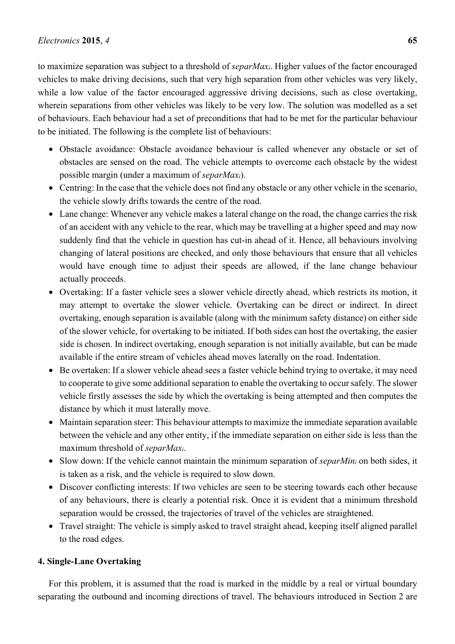to maximize separation was subject to a threshold of *separMaxi*. Higher values of the factor encouraged vehicles to make driving decisions, such that very high separation from other vehicles was very likely, while a low value of the factor encouraged aggressive driving decisions, such as close overtaking, wherein separations from other vehicles was likely to be very low. The solution was modelled as a set of behaviours. Each behaviour had a set of preconditions that had to be met for the particular behaviour to be initiated. The following is the complete list of behaviours:

- Obstacle avoidance: Obstacle avoidance behaviour is called whenever any obstacle or set of obstacles are sensed on the road. The vehicle attempts to overcome each obstacle by the widest possible margin (under a maximum of *separMaxi*).
- Centring: In the case that the vehicle does not find any obstacle or any other vehicle in the scenario, the vehicle slowly drifts towards the centre of the road.
- Lane change: Whenever any vehicle makes a lateral change on the road, the change carries the risk of an accident with any vehicle to the rear, which may be travelling at a higher speed and may now suddenly find that the vehicle in question has cut-in ahead of it. Hence, all behaviours involving changing of lateral positions are checked, and only those behaviours that ensure that all vehicles would have enough time to adjust their speeds are allowed, if the lane change behaviour actually proceeds.
- Overtaking: If a faster vehicle sees a slower vehicle directly ahead, which restricts its motion, it may attempt to overtake the slower vehicle. Overtaking can be direct or indirect. In direct overtaking, enough separation is available (along with the minimum safety distance) on either side of the slower vehicle, for overtaking to be initiated. If both sides can host the overtaking, the easier side is chosen. In indirect overtaking, enough separation is not initially available, but can be made available if the entire stream of vehicles ahead moves laterally on the road. Indentation.
- Be overtaken: If a slower vehicle ahead sees a faster vehicle behind trying to overtake, it may need to cooperate to give some additional separation to enable the overtaking to occur safely. The slower vehicle firstly assesses the side by which the overtaking is being attempted and then computes the distance by which it must laterally move.
- Maintain separation steer: This behaviour attempts to maximize the immediate separation available between the vehicle and any other entity, if the immediate separation on either side is less than the maximum threshold of *separMaxi*.
- Slow down: If the vehicle cannot maintain the minimum separation of *separMini* on both sides, it is taken as a risk, and the vehicle is required to slow down.
- Discover conflicting interests: If two vehicles are seen to be steering towards each other because of any behaviours, there is clearly a potential risk. Once it is evident that a minimum threshold separation would be crossed, the trajectories of travel of the vehicles are straightened.
- Travel straight: The vehicle is simply asked to travel straight ahead, keeping itself aligned parallel to the road edges.

#### **4. Single-Lane Overtaking**

For this problem, it is assumed that the road is marked in the middle by a real or virtual boundary separating the outbound and incoming directions of travel. The behaviours introduced in Section 2 are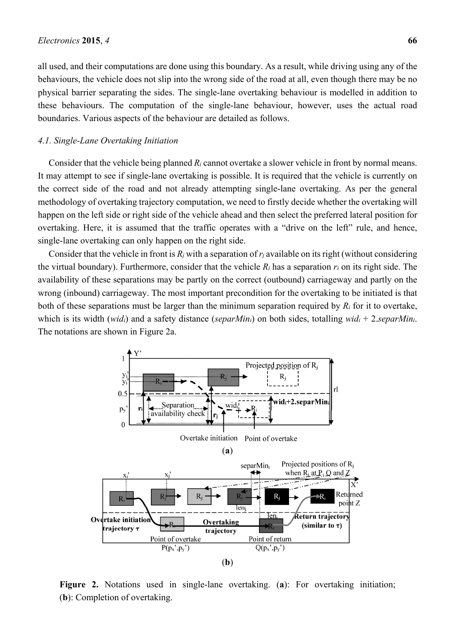all used, and their computations are done using this boundary. As a result, while driving using any of the behaviours, the vehicle does not slip into the wrong side of the road at all, even though there may be no physical barrier separating the sides. The single-lane overtaking behaviour is modelled in addition to these behaviours. The computation of the single-lane behaviour, however, uses the actual road boundaries. Various aspects of the behaviour are detailed as follows.

#### *4.1. Single-Lane Overtaking Initiation*

Consider that the vehicle being planned *Ri* cannot overtake a slower vehicle in front by normal means. It may attempt to see if single-lane overtaking is possible. It is required that the vehicle is currently on the correct side of the road and not already attempting single-lane overtaking. As per the general methodology of overtaking trajectory computation, we need to firstly decide whether the overtaking will happen on the left side or right side of the vehicle ahead and then select the preferred lateral position for overtaking. Here, it is assumed that the traffic operates with a "drive on the left" rule, and hence, single-lane overtaking can only happen on the right side.

Consider that the vehicle in front is  $R_j$  with a separation of  $r_j$  available on its right (without considering the virtual boundary). Furthermore, consider that the vehicle *Ri* has a separation *ri* on its right side. The availability of these separations may be partly on the correct (outbound) carriageway and partly on the wrong (inbound) carriageway. The most important precondition for the overtaking to be initiated is that both of these separations must be larger than the minimum separation required by *Ri* for it to overtake, which is its width (*widi*) and a safety distance (*separMini*) on both sides, totalling *widi* + 2.*separMini*. The notations are shown in Figure 2a.



**Figure 2.** Notations used in single-lane overtaking. (**a**): For overtaking initiation; (**b**): Completion of overtaking.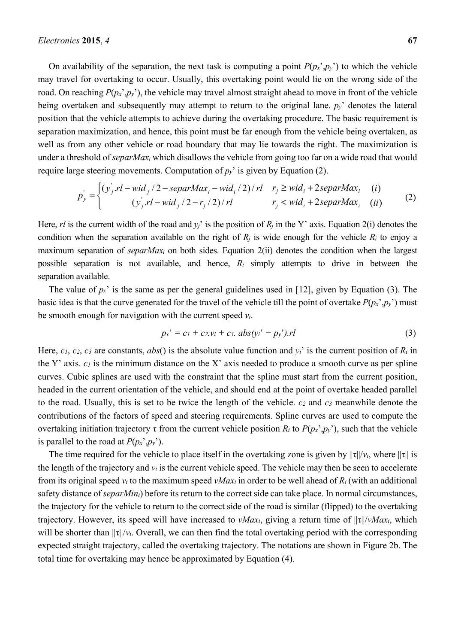On availability of the separation, the next task is computing a point  $P(p_x, p_y)$  to which the vehicle may travel for overtaking to occur. Usually, this overtaking point would lie on the wrong side of the road. On reaching  $P(p_x, p_y)$ , the vehicle may travel almost straight ahead to move in front of the vehicle being overtaken and subsequently may attempt to return to the original lane. *py*' denotes the lateral position that the vehicle attempts to achieve during the overtaking procedure. The basic requirement is separation maximization, and hence, this point must be far enough from the vehicle being overtaken, as well as from any other vehicle or road boundary that may lie towards the right. The maximization is under a threshold of *separMaxi* which disallows the vehicle from going too far on a wide road that would require large steering movements. Computation of  $p_y$ <sup>'</sup> is given by Equation (2).

$$
p_{y}^{'} = \begin{cases} (y_{j}^{'}.rl - wid_{j}/2 - separMax_{i} - wid_{i}/2)/rl & r_{j} \geq wid_{i} + 2separMax_{i} & (i) \\ (y_{j}^{'}.rl - wid_{j}/2 - r_{j}/2)/rl & r_{j} < wid_{i} + 2separMax_{i} & (ii) \end{cases}
$$
(2)

Here, *rl* is the current width of the road and  $y_i$  is the position of  $R_i$  in the Y' axis. Equation 2(i) denotes the condition when the separation available on the right of  $R_i$  is wide enough for the vehicle  $R_i$  to enjoy a maximum separation of *separMaxi* on both sides. Equation 2(ii) denotes the condition when the largest possible separation is not available, and hence, *Ri* simply attempts to drive in between the separation available.

The value of  $p_x$ <sup>'</sup> is the same as per the general guidelines used in [12], given by Equation (3). The basic idea is that the curve generated for the travel of the vehicle till the point of overtake  $P(p_x, p_y)$  must be smooth enough for navigation with the current speed *vi*.

$$
p_{x}^{\prime}=c_{1}+c_{2}.v_{i}+c_{3}.abs(y_{i}^{\prime}-p_{y}^{\prime}).rl
$$
\n(3)

Here, *c1*, *c2*, *c3* are constants, *abs*() is the absolute value function and *yi*' is the current position of *Ri* in the Y' axis.  $c_1$  is the minimum distance on the X' axis needed to produce a smooth curve as per spline curves. Cubic splines are used with the constraint that the spline must start from the current position, headed in the current orientation of the vehicle, and should end at the point of overtake headed parallel to the road. Usually, this is set to be twice the length of the vehicle. *c2* and *c3* meanwhile denote the contributions of the factors of speed and steering requirements. Spline curves are used to compute the overtaking initiation trajectory τ from the current vehicle position  $R_i$  to  $P(p_x, p_y)$ , such that the vehicle is parallel to the road at  $P(p_x, p_y)$ .

The time required for the vehicle to place itself in the overtaking zone is given by  $||\tau||/v_i$ , where  $||\tau||$  is the length of the trajectory and  $v_i$  is the current vehicle speed. The vehicle may then be seen to accelerate from its original speed *vi* to the maximum speed *vMaxi* in order to be well ahead of *Rj* (with an additional safety distance of *separMini*) before its return to the correct side can take place. In normal circumstances, the trajectory for the vehicle to return to the correct side of the road is similar (flipped) to the overtaking trajectory. However, its speed will have increased to *vMaxi*, giving a return time of ||τ||/*vMaxi*, which will be shorter than  $||\tau||/v_i$ . Overall, we can then find the total overtaking period with the corresponding expected straight trajectory, called the overtaking trajectory. The notations are shown in Figure 2b. The total time for overtaking may hence be approximated by Equation (4).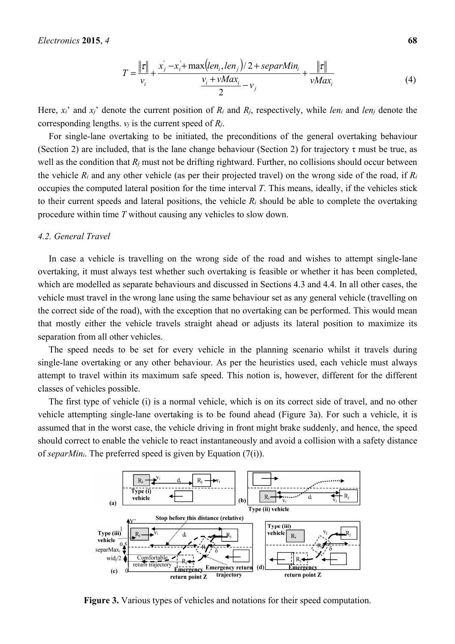$$
T = \frac{\|\tau\|}{v_i} + \frac{x_j - x_i + \max(\ell en_i, len_j)/2 + \text{separMin}_i}{\frac{v_i + \nu Max_i}{2} - v_j} + \frac{\|\tau\|}{\nu Max_i}
$$
(4)

Here, *xi*' and *xj*' denote the current position of *Ri* and *Rj*, respectively, while *leni* and *lenj* denote the corresponding lengths.  $v_j$  is the current speed of  $R_i$ .

For single-lane overtaking to be initiated, the preconditions of the general overtaking behaviour (Section 2) are included, that is the lane change behaviour (Section 2) for trajectory  $\tau$  must be true, as well as the condition that  $R_j$  must not be drifting rightward. Further, no collisions should occur between the vehicle *Ri* and any other vehicle (as per their projected travel) on the wrong side of the road, if *Ri* occupies the computed lateral position for the time interval *T*. This means, ideally, if the vehicles stick to their current speeds and lateral positions, the vehicle *Ri* should be able to complete the overtaking procedure within time *T* without causing any vehicles to slow down.

#### *4.2. General Travel*

In case a vehicle is travelling on the wrong side of the road and wishes to attempt single-lane overtaking, it must always test whether such overtaking is feasible or whether it has been completed, which are modelled as separate behaviours and discussed in Sections 4.3 and 4.4. In all other cases, the vehicle must travel in the wrong lane using the same behaviour set as any general vehicle (travelling on the correct side of the road), with the exception that no overtaking can be performed. This would mean that mostly either the vehicle travels straight ahead or adjusts its lateral position to maximize its separation from all other vehicles.

The speed needs to be set for every vehicle in the planning scenario whilst it travels during single-lane overtaking or any other behaviour. As per the heuristics used, each vehicle must always attempt to travel within its maximum safe speed. This notion is, however, different for the different classes of vehicles possible.

The first type of vehicle (i) is a normal vehicle, which is on its correct side of travel, and no other vehicle attempting single-lane overtaking is to be found ahead (Figure 3a). For such a vehicle, it is assumed that in the worst case, the vehicle driving in front might brake suddenly, and hence, the speed should correct to enable the vehicle to react instantaneously and avoid a collision with a safety distance of *separMini*. The preferred speed is given by Equation (7(i)).



**Figure 3.** Various types of vehicles and notations for their speed computation.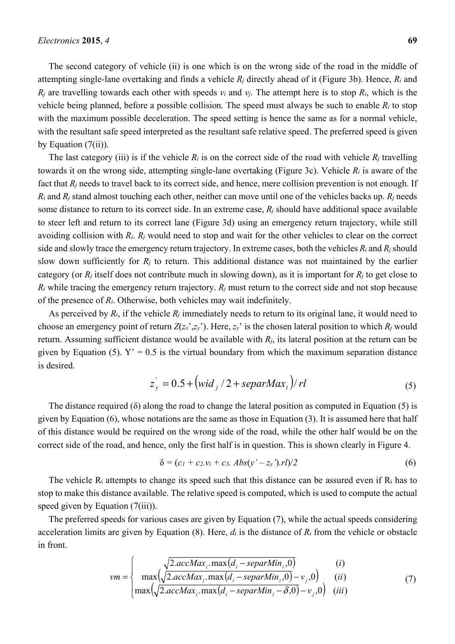The second category of vehicle (ii) is one which is on the wrong side of the road in the middle of attempting single-lane overtaking and finds a vehicle *Rj* directly ahead of it (Figure 3b). Hence, *Ri* and  $R_i$  are travelling towards each other with speeds  $v_i$  and  $v_j$ . The attempt here is to stop  $R_i$ , which is the vehicle being planned, before a possible collision. The speed must always be such to enable *Ri* to stop with the maximum possible deceleration. The speed setting is hence the same as for a normal vehicle, with the resultant safe speed interpreted as the resultant safe relative speed. The preferred speed is given by Equation  $(7(ii))$ .

The last category (iii) is if the vehicle  $R_i$  is on the correct side of the road with vehicle  $R_i$  travelling towards it on the wrong side, attempting single-lane overtaking (Figure 3c). Vehicle *Ri* is aware of the fact that  $R_i$  needs to travel back to its correct side, and hence, mere collision prevention is not enough. If *Ri* and *Rj* stand almost touching each other, neither can move until one of the vehicles backs up. *Rj* needs some distance to return to its correct side. In an extreme case, *Rj* should have additional space available to steer left and return to its correct lane (Figure 3d) using an emergency return trajectory, while still avoiding collision with *Ri*. *Rj* would need to stop and wait for the other vehicles to clear on the correct side and slowly trace the emergency return trajectory. In extreme cases, both the vehicles *Ri* and *Rj* should slow down sufficiently for  $R_i$  to return. This additional distance was not maintained by the earlier category (or *Rj* itself does not contribute much in slowing down), as it is important for *Rj* to get close to  $R_i$  while tracing the emergency return trajectory.  $R_j$  must return to the correct side and not stop because of the presence of *Ri*. Otherwise, both vehicles may wait indefinitely.

As perceived by *Ri*, if the vehicle *Rj* immediately needs to return to its original lane, it would need to choose an emergency point of return  $Z(zx',zy')$ . Here,  $zy'$  is the chosen lateral position to which  $R_j$  would return. Assuming sufficient distance would be available with *Rj*, its lateral position at the return can be given by Equation (5).  $Y' = 0.5$  is the virtual boundary from which the maximum separation distance is desired.

$$
z'_{y} = 0.5 + \left(wid_{j}/2 + \text{separMax}_{i}\right) / rl \tag{5}
$$

The distance required ( $\delta$ ) along the road to change the lateral position as computed in Equation (5) is given by Equation (6), whose notations are the same as those in Equation (3). It is assumed here that half of this distance would be required on the wrong side of the road, while the other half would be on the correct side of the road, and hence, only the first half is in question. This is shown clearly in Figure 4.

$$
\delta = (c_1 + c_2.v_i + c_3. Abs(y' - z_y').r l)/2 \tag{6}
$$

The vehicle Ri attempts to change its speed such that this distance can be assured even if Ri has to stop to make this distance available. The relative speed is computed, which is used to compute the actual speed given by Equation (7(iii)).

The preferred speeds for various cases are given by Equation (7), while the actual speeds considering acceleration limits are given by Equation (8). Here, *di* is the distance of *Ri* from the vehicle or obstacle in front.

$$
vm = \begin{cases} \sqrt{2.accMax_i \cdot max(d_i - separMin_i, 0)} & (i) \\ \max(\sqrt{2.accMax_i \cdot max(d_i - separMin_i, 0)} - v_j, 0) & (ii) \\ \max(\sqrt{2.accMax_i \cdot max(d_i - separMin_i - \delta, 0)} - v_j, 0) & (iii) \end{cases}
$$
(7)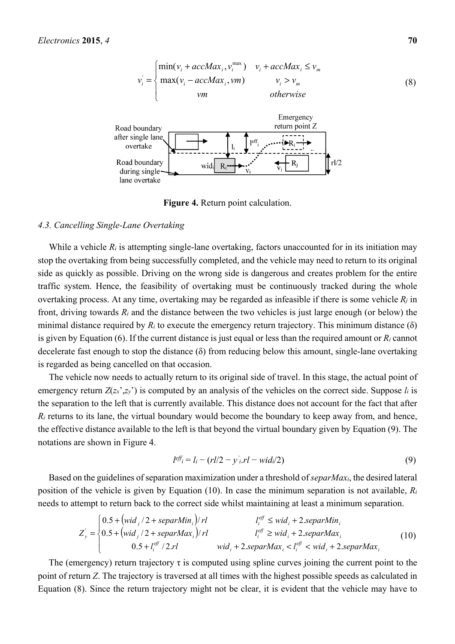

**Figure 4.** Return point calculation.

#### *4.3. Cancelling Single-Lane Overtaking*

While a vehicle  $R_i$  is attempting single-lane overtaking, factors unaccounted for in its initiation may stop the overtaking from being successfully completed, and the vehicle may need to return to its original side as quickly as possible. Driving on the wrong side is dangerous and creates problem for the entire traffic system. Hence, the feasibility of overtaking must be continuously tracked during the whole overtaking process. At any time, overtaking may be regarded as infeasible if there is some vehicle  $R_i$  in front, driving towards *Ri* and the distance between the two vehicles is just large enough (or below) the minimal distance required by  $R_i$  to execute the emergency return trajectory. This minimum distance ( $\delta$ ) is given by Equation (6). If the current distance is just equal or less than the required amount or *Ri* cannot decelerate fast enough to stop the distance (δ) from reducing below this amount, single-lane overtaking is regarded as being cancelled on that occasion.

The vehicle now needs to actually return to its original side of travel. In this stage, the actual point of emergency return  $Z(z_x, z_y)$  is computed by an analysis of the vehicles on the correct side. Suppose  $l_i$  is the separation to the left that is currently available. This distance does not account for the fact that after  $R_i$  returns to its lane, the virtual boundary would become the boundary to keep away from, and hence, the effective distance available to the left is that beyond the virtual boundary given by Equation (9). The notations are shown in Figure 4.

$$
l^{eff} = l_i - (rl/2 - y'_i.rl - wid_i/2)
$$
\n
$$
(9)
$$

Based on the guidelines of separation maximization under a threshold of *separMaxi*, the desired lateral position of the vehicle is given by Equation (10). In case the minimum separation is not available, *Ri* needs to attempt to return back to the correct side whilst maintaining at least a minimum separation.

$$
Z_{y}^{'} = \begin{cases} 0.5 + \left(\text{wid}_{j}/2 + \text{separMin}_{i}\right) / r l & l_{i}^{eff} \leq \text{wid}_{i} + 2 \text{separMin}_{i} \\ 0.5 + \left(\text{wid}_{j}/2 + \text{separMax}_{i}\right) / r l & l_{i}^{eff} \geq \text{wid}_{i} + 2 \text{separMax}_{i} \\ 0.5 + l_{i}^{eff} / 2 \text{rl} & \text{wid}_{i} + 2 \text{separMax}_{i} < l_{i}^{eff} < \text{wid}_{i} + 2 \text{separMax}_{i} \end{cases} \tag{10}
$$

The (emergency) return trajectory  $\tau$  is computed using spline curves joining the current point to the point of return *Z*. The trajectory is traversed at all times with the highest possible speeds as calculated in Equation (8). Since the return trajectory might not be clear, it is evident that the vehicle may have to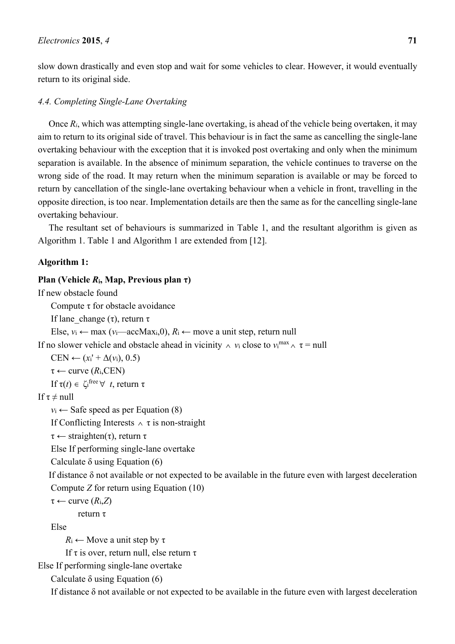slow down drastically and even stop and wait for some vehicles to clear. However, it would eventually return to its original side.

#### *4.4. Completing Single-Lane Overtaking*

Once *Ri*, which was attempting single-lane overtaking, is ahead of the vehicle being overtaken, it may aim to return to its original side of travel. This behaviour is in fact the same as cancelling the single-lane overtaking behaviour with the exception that it is invoked post overtaking and only when the minimum separation is available. In the absence of minimum separation, the vehicle continues to traverse on the wrong side of the road. It may return when the minimum separation is available or may be forced to return by cancellation of the single-lane overtaking behaviour when a vehicle in front, travelling in the opposite direction, is too near. Implementation details are then the same as for the cancelling single-lane overtaking behaviour.

The resultant set of behaviours is summarized in Table 1, and the resultant algorithm is given as Algorithm 1. Table 1 and Algorithm 1 are extended from [12].

#### **Algorithm 1:**

#### **Plan (Vehicle**  $R$ **<sup>i</sup>, Map, Previous plan τ)**

If new obstacle found

Compute τ for obstacle avoidance

If lane change (τ), return τ

Else,  $v_i$  ← max ( $v_i$ —accMax<sub>i</sub>,0),  $R_i$  ← move a unit step, return null

If no slower vehicle and obstacle ahead in vicinity  $\land v_i$  close to  $v_i^{\max} \land \tau = \text{null}$ 

 $CEN \leftarrow (x_i' + \Delta(v_i), 0.5)$ 

 $\tau \leftarrow$  curve  $(R_i$ , CEN)

If  $τ(t) ∈ ζ$ <sub>i</sub>free  $∀ t$ , return τ

If  $\tau \neq \text{null}$ 

 $v_i \leftarrow$  Safe speed as per Equation (8)

If Conflicting Interests  $\land \tau$  is non-straight

 $\tau \leftarrow$  straighten(τ), return  $\tau$ 

Else If performing single-lane overtake

Calculate  $\delta$  using Equation (6)

If distance  $\delta$  not available or not expected to be available in the future even with largest deceleration Compute *Z* for return using Equation (10)

```
\tau \leftarrow curve (R_i, Z)
```
return τ

Else

 $R_i \leftarrow$  Move a unit step by  $\tau$ 

If τ is over, return null, else return τ

Else If performing single-lane overtake

Calculate  $\delta$  using Equation (6)

If distance δ not available or not expected to be available in the future even with largest deceleration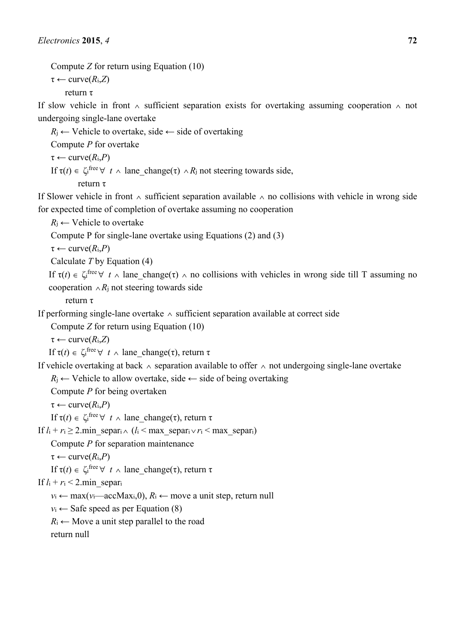```
Compute Z for return using Equation (10)
```
 $\tau \leftarrow \text{curve}(R_i, Z)$ 

return τ

If slow vehicle in front ∧ sufficient separation exists for overtaking assuming cooperation ∧ not undergoing single-lane overtake

 $R_i \leftarrow$  Vehicle to overtake, side  $\leftarrow$  side of overtaking

Compute *P* for overtake

 $\tau \leftarrow \text{curve}(R_i, P)$ If  $\tau(t) \in \zeta_i^{\text{free}} \forall t \wedge \text{lane\_change}(\tau) \wedge R_i$  not steering towards side, return τ

If Slower vehicle in front ∧ sufficient separation available ∧ no collisions with vehicle in wrong side for expected time of completion of overtake assuming no cooperation

 $R_i \leftarrow$  Vehicle to overtake

Compute P for single-lane overtake using Equations (2) and (3)

 $\tau \leftarrow \text{curve}(R_i, P)$ 

Calculate *T* by Equation (4)

If  $\tau(t) \in \zeta_i^{\text{free}} \forall t \wedge \text{lane\_change}(\tau) \wedge \text{no collisions with vehicles in wrong side till T assuming no}$ cooperation ∧*R*j not steering towards side

return τ

If performing single-lane overtake ∧ sufficient separation available at correct side

Compute *Z* for return using Equation (10)

 $\tau \leftarrow \text{curve}(R_i, Z)$ 

If  $τ(t) ∈ ζ$ <sup>ifree</sup>  $∀ t ∧$  lane\_change(τ), return τ

If vehicle overtaking at back ∧ separation available to offer ∧ not undergoing single-lane overtake *R*<sub>i</sub> ← Vehicle to allow overtake, side ← side of being overtaking

Compute *P* for being overtaken

 $\tau \leftarrow \text{curve}(R_i, P)$ 

If  $\tau(t) \in \zeta$ <sup>tree</sup> ∀ *t* ∧ lane\_change(τ), return τ

If  $l_i + r_i ≥ 2$  min\_separ<sub>i</sub> ∧ ( $l_i$  < max\_separ<sub>i</sub> ∨  $r_i$  < max\_separ<sub>i</sub>)

Compute *P* for separation maintenance

 $\tau \leftarrow \text{curve}(R_i, P)$ 

If  $\tau(t) \in \zeta$ <sup>tree</sup> ∀ *t* ∧ lane\_change(τ), return τ

If  $l_i + r_i < 2$  min separ<sub>i</sub>

 $v_i \leftarrow \max(v_i - \text{accMax}_i, 0), R_i \leftarrow \text{move a unit step, return null}$ 

 $v_i \leftarrow$  Safe speed as per Equation (8)

 $R_i \leftarrow$  Move a unit step parallel to the road

return null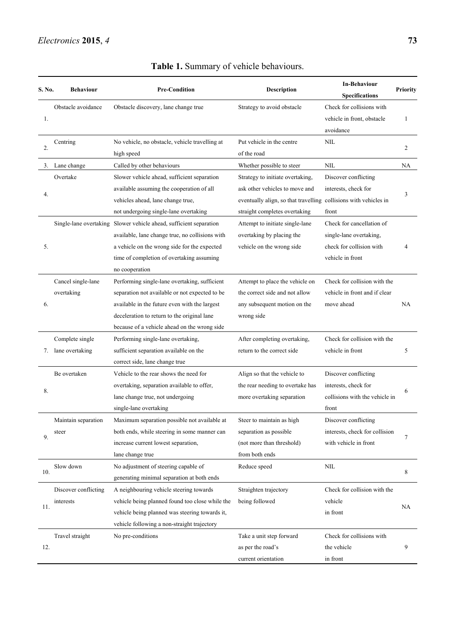| S. No. | <b>Behaviour</b>                   | <b>Pre-Condition</b>                                                                                                                                                                                                                            | Description                                                                                                                                                             | <b>In-Behaviour</b><br><b>Specifications</b>                                                         | <b>Priority</b> |
|--------|------------------------------------|-------------------------------------------------------------------------------------------------------------------------------------------------------------------------------------------------------------------------------------------------|-------------------------------------------------------------------------------------------------------------------------------------------------------------------------|------------------------------------------------------------------------------------------------------|-----------------|
| 1.     | Obstacle avoidance                 | Obstacle discovery, lane change true                                                                                                                                                                                                            | Strategy to avoid obstacle                                                                                                                                              | Check for collisions with<br>vehicle in front, obstacle<br>avoidance                                 | 1               |
| 2.     | Centring                           | No vehicle, no obstacle, vehicle travelling at<br>high speed                                                                                                                                                                                    | Put vehicle in the centre<br>of the road                                                                                                                                | <b>NIL</b>                                                                                           | $\overline{c}$  |
|        | 3. Lane change                     | Called by other behaviours                                                                                                                                                                                                                      | Whether possible to steer                                                                                                                                               | <b>NIL</b>                                                                                           | NA              |
| 4.     | Overtake                           | Slower vehicle ahead, sufficient separation<br>available assuming the cooperation of all<br>vehicles ahead, lane change true,<br>not undergoing single-lane overtaking                                                                          | Strategy to initiate overtaking,<br>ask other vehicles to move and<br>eventually align, so that travelling collisions with vehicles in<br>straight completes overtaking | Discover conflicting<br>interests, check for<br>front                                                | 3               |
| 5.     |                                    | Single-lane overtaking Slower vehicle ahead, sufficient separation<br>available, lane change true, no collisions with<br>a vehicle on the wrong side for the expected<br>time of completion of overtaking assuming<br>no cooperation            | Attempt to initiate single-lane<br>overtaking by placing the<br>vehicle on the wrong side                                                                               | Check for cancellation of<br>single-lane overtaking,<br>check for collision with<br>vehicle in front | 4               |
| 6.     | Cancel single-lane<br>overtaking   | Performing single-lane overtaking, sufficient<br>separation not available or not expected to be<br>available in the future even with the largest<br>deceleration to return to the original lane<br>because of a vehicle ahead on the wrong side | Attempt to place the vehicle on<br>the correct side and not allow<br>any subsequent motion on the<br>wrong side                                                         | Check for collision with the<br>vehicle in front and if clear<br>move ahead                          | NA              |
| 7.     | Complete single<br>lane overtaking | Performing single-lane overtaking,<br>sufficient separation available on the<br>correct side, lane change true                                                                                                                                  | After completing overtaking,<br>return to the correct side                                                                                                              | Check for collision with the<br>vehicle in front                                                     | 5               |
| 8.     | Be overtaken                       | Vehicle to the rear shows the need for<br>overtaking, separation available to offer,<br>lane change true, not undergoing<br>single-lane overtaking                                                                                              | Align so that the vehicle to<br>the rear needing to overtake has<br>more overtaking separation                                                                          | Discover conflicting<br>interests, check for<br>collisions with the vehicle in<br>front              | 6               |
| 9.     | Maintain separation<br>steer       | Maximum separation possible not available at<br>both ends, while steering in some manner can<br>increase current lowest separation,<br>lane change true                                                                                         | Steer to maintain as high<br>separation as possible<br>(not more than threshold)<br>from both ends                                                                      | Discover conflicting<br>interests, check for collision<br>with vehicle in front                      | 7               |
| 10.    | Slow down                          | No adjustment of steering capable of<br>generating minimal separation at both ends                                                                                                                                                              | Reduce speed                                                                                                                                                            | $\text{NIL}$                                                                                         | 8               |
| 11.    | Discover conflicting<br>interests  | A neighbouring vehicle steering towards<br>vehicle being planned found too close while the<br>vehicle being planned was steering towards it,<br>vehicle following a non-straight trajectory                                                     | Straighten trajectory<br>being followed                                                                                                                                 | Check for collision with the<br>vehicle<br>in front                                                  | NA              |
| 12.    | Travel straight                    | No pre-conditions                                                                                                                                                                                                                               | Take a unit step forward<br>as per the road's<br>current orientation                                                                                                    | Check for collisions with<br>the vehicle<br>in front                                                 | 9               |

## **Table 1.** Summary of vehicle behaviours.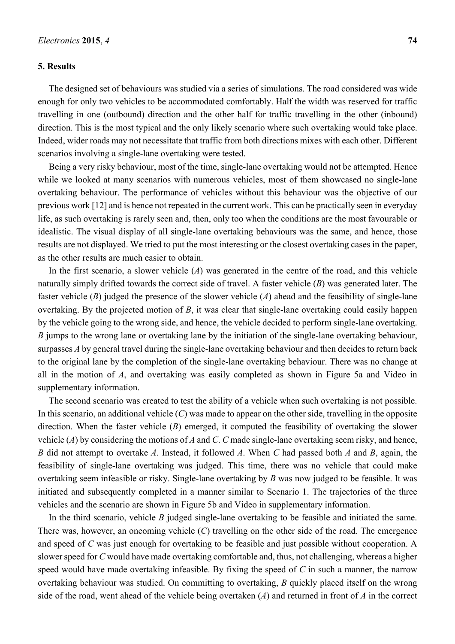#### **5. Results**

The designed set of behaviours was studied via a series of simulations. The road considered was wide enough for only two vehicles to be accommodated comfortably. Half the width was reserved for traffic travelling in one (outbound) direction and the other half for traffic travelling in the other (inbound) direction. This is the most typical and the only likely scenario where such overtaking would take place. Indeed, wider roads may not necessitate that traffic from both directions mixes with each other. Different scenarios involving a single-lane overtaking were tested.

Being a very risky behaviour, most of the time, single-lane overtaking would not be attempted. Hence while we looked at many scenarios with numerous vehicles, most of them showcased no single-lane overtaking behaviour. The performance of vehicles without this behaviour was the objective of our previous work [12] and is hence not repeated in the current work. This can be practically seen in everyday life, as such overtaking is rarely seen and, then, only too when the conditions are the most favourable or idealistic. The visual display of all single-lane overtaking behaviours was the same, and hence, those results are not displayed. We tried to put the most interesting or the closest overtaking cases in the paper, as the other results are much easier to obtain.

In the first scenario, a slower vehicle (*A*) was generated in the centre of the road, and this vehicle naturally simply drifted towards the correct side of travel. A faster vehicle (*B*) was generated later. The faster vehicle (*B*) judged the presence of the slower vehicle (*A*) ahead and the feasibility of single-lane overtaking. By the projected motion of *B*, it was clear that single-lane overtaking could easily happen by the vehicle going to the wrong side, and hence, the vehicle decided to perform single-lane overtaking. *B* jumps to the wrong lane or overtaking lane by the initiation of the single-lane overtaking behaviour, surpasses *A* by general travel during the single-lane overtaking behaviour and then decides to return back to the original lane by the completion of the single-lane overtaking behaviour. There was no change at all in the motion of *A*, and overtaking was easily completed as shown in Figure 5a and Video in supplementary information.

The second scenario was created to test the ability of a vehicle when such overtaking is not possible. In this scenario, an additional vehicle (*C*) was made to appear on the other side, travelling in the opposite direction. When the faster vehicle (*B*) emerged, it computed the feasibility of overtaking the slower vehicle (*A*) by considering the motions of *A* and *C*. *C* made single-lane overtaking seem risky, and hence, *B* did not attempt to overtake *A*. Instead, it followed *A*. When *C* had passed both *A* and *B*, again, the feasibility of single-lane overtaking was judged. This time, there was no vehicle that could make overtaking seem infeasible or risky. Single-lane overtaking by *B* was now judged to be feasible. It was initiated and subsequently completed in a manner similar to Scenario 1. The trajectories of the three vehicles and the scenario are shown in Figure 5b and Video in supplementary information.

In the third scenario, vehicle *B* judged single-lane overtaking to be feasible and initiated the same. There was, however, an oncoming vehicle (*C*) travelling on the other side of the road. The emergence and speed of *C* was just enough for overtaking to be feasible and just possible without cooperation. A slower speed for *C* would have made overtaking comfortable and, thus, not challenging, whereas a higher speed would have made overtaking infeasible. By fixing the speed of *C* in such a manner, the narrow overtaking behaviour was studied. On committing to overtaking, *B* quickly placed itself on the wrong side of the road, went ahead of the vehicle being overtaken (*A*) and returned in front of *A* in the correct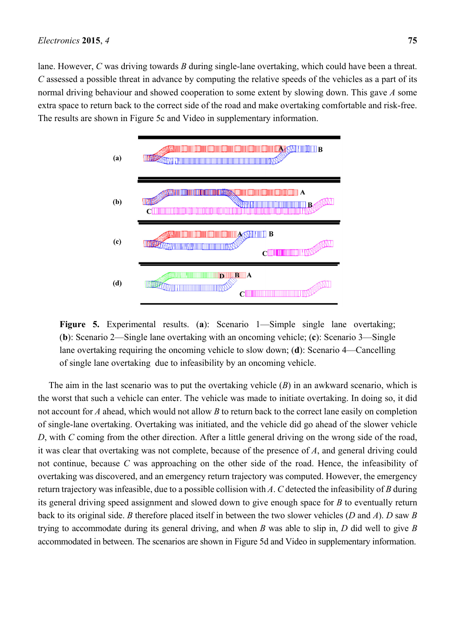lane. However, *C* was driving towards *B* during single-lane overtaking, which could have been a threat. *C* assessed a possible threat in advance by computing the relative speeds of the vehicles as a part of its normal driving behaviour and showed cooperation to some extent by slowing down. This gave *A* some extra space to return back to the correct side of the road and make overtaking comfortable and risk-free. The results are shown in Figure 5c and Video in supplementary information.



**Figure 5.** Experimental results. (**a**): Scenario 1—Simple single lane overtaking; (**b**): Scenario 2—Single lane overtaking with an oncoming vehicle; (**c**): Scenario 3—Single lane overtaking requiring the oncoming vehicle to slow down; (**d**): Scenario 4—Cancelling of single lane overtaking due to infeasibility by an oncoming vehicle.

The aim in the last scenario was to put the overtaking vehicle (*B*) in an awkward scenario, which is the worst that such a vehicle can enter. The vehicle was made to initiate overtaking. In doing so, it did not account for *A* ahead, which would not allow *B* to return back to the correct lane easily on completion of single-lane overtaking. Overtaking was initiated, and the vehicle did go ahead of the slower vehicle *D*, with *C* coming from the other direction. After a little general driving on the wrong side of the road, it was clear that overtaking was not complete, because of the presence of *A*, and general driving could not continue, because *C* was approaching on the other side of the road. Hence, the infeasibility of overtaking was discovered, and an emergency return trajectory was computed. However, the emergency return trajectory was infeasible, due to a possible collision with *A*. *C* detected the infeasibility of *B* during its general driving speed assignment and slowed down to give enough space for *B* to eventually return back to its original side. *B* therefore placed itself in between the two slower vehicles (*D* and *A*). *D* saw *B* trying to accommodate during its general driving, and when *B* was able to slip in, *D* did well to give *B* accommodated in between. The scenarios are shown in Figure 5d and Video in supplementary information.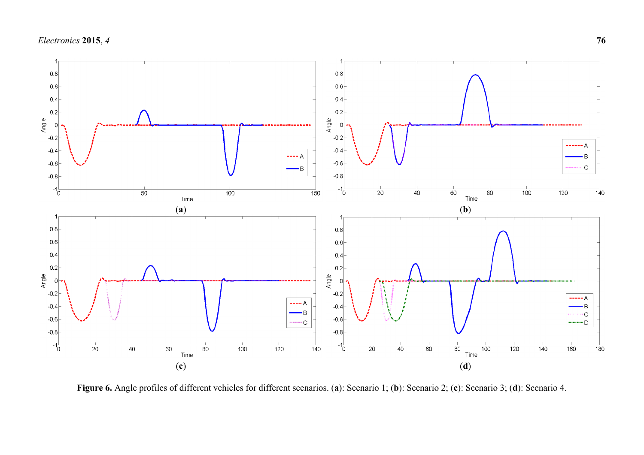

**Figure 6.** Angle profiles of different vehicles for different scenarios. (**a**): Scenario 1; (**b**): Scenario 2; (**c**): Scenario 3; (**d**): Scenario 4.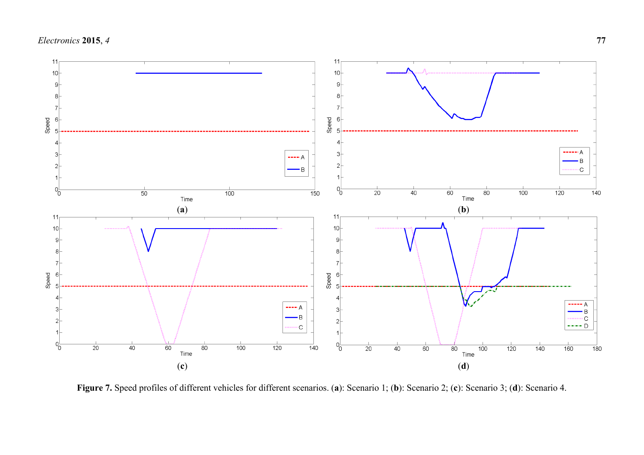

**Figure 7.** Speed profiles of different vehicles for different scenarios. (**a**): Scenario 1; (**b**): Scenario 2; (**c**): Scenario 3; (**d**): Scenario 4.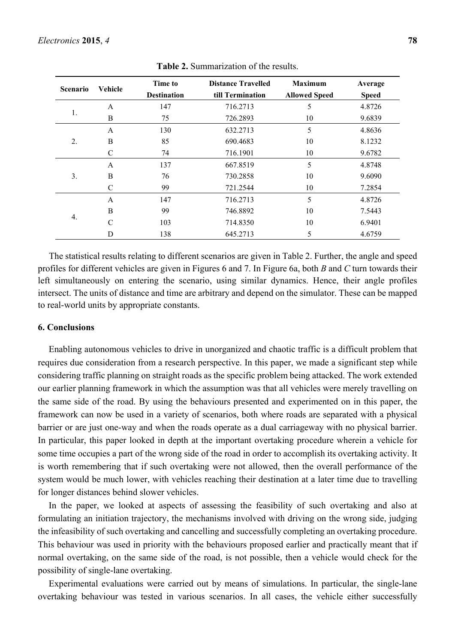| <b>Scenario</b> | <b>Vehicle</b> | Time to<br><b>Destination</b> | <b>Distance Travelled</b><br>till Termination | <b>Maximum</b><br><b>Allowed Speed</b> | Average<br><b>Speed</b> |
|-----------------|----------------|-------------------------------|-----------------------------------------------|----------------------------------------|-------------------------|
|                 | A              | 147                           | 716.2713                                      | 5                                      | 4.8726                  |
| 1.              | B              | 75                            | 726.2893                                      | 10                                     | 9.6839                  |
|                 | A              | 130                           | 632.2713                                      | 5                                      | 4.8636                  |
| 2.              | B              | 85                            | 690.4683                                      | 10                                     | 8.1232                  |
|                 | C              | 74                            | 716.1901                                      | 10                                     | 9.6782                  |
|                 | A              | 137                           | 667.8519                                      | 5                                      | 4.8748                  |
| 3.              | B              | 76                            | 730.2858                                      | 10                                     | 9.6090                  |
|                 | C              | 99                            | 721.2544                                      | 10                                     | 7.2854                  |
|                 | A              | 147                           | 716.2713                                      | 5                                      | 4.8726                  |
|                 | B              | 99                            | 746.8892                                      | 10                                     | 7.5443                  |
| 4.              | $\mathcal{C}$  | 103                           | 714.8350                                      | 10                                     | 6.9401                  |
|                 | D              | 138                           | 645.2713                                      | 5                                      | 4.6759                  |

**Table 2.** Summarization of the results.

The statistical results relating to different scenarios are given in Table 2. Further, the angle and speed profiles for different vehicles are given in Figures 6 and 7. In Figure 6a, both *B* and *C* turn towards their left simultaneously on entering the scenario, using similar dynamics. Hence, their angle profiles intersect. The units of distance and time are arbitrary and depend on the simulator. These can be mapped to real-world units by appropriate constants.

#### **6. Conclusions**

Enabling autonomous vehicles to drive in unorganized and chaotic traffic is a difficult problem that requires due consideration from a research perspective. In this paper, we made a significant step while considering traffic planning on straight roads as the specific problem being attacked. The work extended our earlier planning framework in which the assumption was that all vehicles were merely travelling on the same side of the road. By using the behaviours presented and experimented on in this paper, the framework can now be used in a variety of scenarios, both where roads are separated with a physical barrier or are just one-way and when the roads operate as a dual carriageway with no physical barrier. In particular, this paper looked in depth at the important overtaking procedure wherein a vehicle for some time occupies a part of the wrong side of the road in order to accomplish its overtaking activity. It is worth remembering that if such overtaking were not allowed, then the overall performance of the system would be much lower, with vehicles reaching their destination at a later time due to travelling for longer distances behind slower vehicles.

In the paper, we looked at aspects of assessing the feasibility of such overtaking and also at formulating an initiation trajectory, the mechanisms involved with driving on the wrong side, judging the infeasibility of such overtaking and cancelling and successfully completing an overtaking procedure. This behaviour was used in priority with the behaviours proposed earlier and practically meant that if normal overtaking, on the same side of the road, is not possible, then a vehicle would check for the possibility of single-lane overtaking.

Experimental evaluations were carried out by means of simulations. In particular, the single-lane overtaking behaviour was tested in various scenarios. In all cases, the vehicle either successfully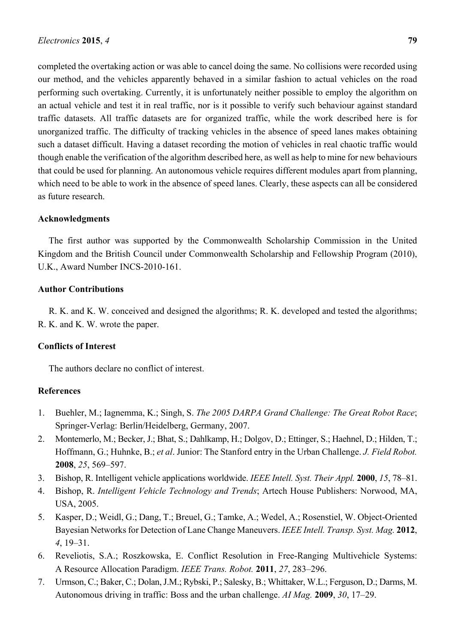completed the overtaking action or was able to cancel doing the same. No collisions were recorded using our method, and the vehicles apparently behaved in a similar fashion to actual vehicles on the road performing such overtaking. Currently, it is unfortunately neither possible to employ the algorithm on an actual vehicle and test it in real traffic, nor is it possible to verify such behaviour against standard traffic datasets. All traffic datasets are for organized traffic, while the work described here is for unorganized traffic. The difficulty of tracking vehicles in the absence of speed lanes makes obtaining such a dataset difficult. Having a dataset recording the motion of vehicles in real chaotic traffic would though enable the verification of the algorithm described here, as well as help to mine for new behaviours that could be used for planning. An autonomous vehicle requires different modules apart from planning, which need to be able to work in the absence of speed lanes. Clearly, these aspects can all be considered as future research.

#### **Acknowledgments**

The first author was supported by the Commonwealth Scholarship Commission in the United Kingdom and the British Council under Commonwealth Scholarship and Fellowship Program (2010), U.K., Award Number INCS-2010-161.

#### **Author Contributions**

R. K. and K. W. conceived and designed the algorithms; R. K. developed and tested the algorithms; R. K. and K. W. wrote the paper.

#### **Conflicts of Interest**

The authors declare no conflict of interest.

#### **References**

- 1. Buehler, M.; Iagnemma, K.; Singh, S. *The 2005 DARPA Grand Challenge: The Great Robot Race*; Springer-Verlag: Berlin/Heidelberg, Germany, 2007.
- 2. Montemerlo, M.; Becker, J.; Bhat, S.; Dahlkamp, H.; Dolgov, D.; Ettinger, S.; Haehnel, D.; Hilden, T.; Hoffmann, G.; Huhnke, B.; *et al*. Junior: The Stanford entry in the Urban Challenge. *J. Field Robot.* **2008**, *25*, 569–597.
- 3. Bishop, R. Intelligent vehicle applications worldwide. *IEEE Intell. Syst. Their Appl.* **2000**, *15*, 78–81.
- 4. Bishop, R. *Intelligent Vehicle Technology and Trends*; Artech House Publishers: Norwood, MA, USA, 2005.
- 5. Kasper, D.; Weidl, G.; Dang, T.; Breuel, G.; Tamke, A.; Wedel, A.; Rosenstiel, W. Object-Oriented Bayesian Networks for Detection of Lane Change Maneuvers. *IEEE Intell. Transp. Syst. Mag.* **2012**, *4*, 19–31.
- 6. Reveliotis, S.A.; Roszkowska, E. Conflict Resolution in Free-Ranging Multivehicle Systems: A Resource Allocation Paradigm. *IEEE Trans. Robot.* **2011**, *27*, 283–296.
- 7. Urmson, C.; Baker, C.; Dolan, J.M.; Rybski, P.; Salesky, B.; Whittaker, W.L.; Ferguson, D.; Darms, M. Autonomous driving in traffic: Boss and the urban challenge. *AI Mag.* **2009**, *30*, 17–29.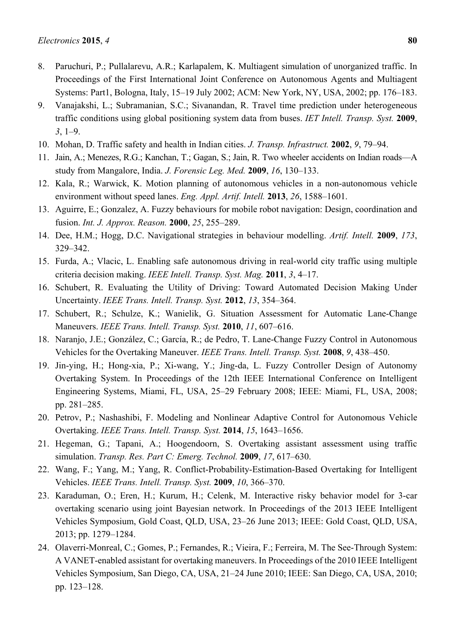- 8. Paruchuri, P.; Pullalarevu, A.R.; Karlapalem, K. Multiagent simulation of unorganized traffic. In Proceedings of the First International Joint Conference on Autonomous Agents and Multiagent Systems: Part1, Bologna, Italy, 15–19 July 2002; ACM: New York, NY, USA, 2002; pp. 176–183.
- 9. Vanajakshi, L.; Subramanian, S.C.; Sivanandan, R. Travel time prediction under heterogeneous traffic conditions using global positioning system data from buses. *IET Intell. Transp. Syst.* **2009**, *3*, 1–9.
- 10. Mohan, D. Traffic safety and health in Indian cities. *J. Transp. Infrastruct.* **2002**, *9*, 79–94.
- 11. Jain, A.; Menezes, R.G.; Kanchan, T.; Gagan, S.; Jain, R. Two wheeler accidents on Indian roads—A study from Mangalore, India. *J. Forensic Leg. Med.* **2009**, *16*, 130–133.
- 12. Kala, R.; Warwick, K. Motion planning of autonomous vehicles in a non-autonomous vehicle environment without speed lanes. *Eng. Appl. Artif. Intell.* **2013**, *26*, 1588–1601.
- 13. Aguirre, E.; Gonzalez, A. Fuzzy behaviours for mobile robot navigation: Design, coordination and fusion. *Int. J. Approx. Reason.* **2000**, *25*, 255–289.
- 14. Dee, H.M.; Hogg, D.C. Navigational strategies in behaviour modelling. *Artif. Intell.* **2009**, *173*, 329–342.
- 15. Furda, A.; Vlacic, L. Enabling safe autonomous driving in real-world city traffic using multiple criteria decision making. *IEEE Intell. Transp. Syst. Mag.* **2011**, *3*, 4–17.
- 16. Schubert, R. Evaluating the Utility of Driving: Toward Automated Decision Making Under Uncertainty. *IEEE Trans. Intell. Transp. Syst.* **2012**, *13*, 354–364.
- 17. Schubert, R.; Schulze, K.; Wanielik, G. Situation Assessment for Automatic Lane-Change Maneuvers. *IEEE Trans. Intell. Transp. Syst.* **2010**, *11*, 607–616.
- 18. Naranjo, J.E.; González, C.; García, R.; de Pedro, T. Lane-Change Fuzzy Control in Autonomous Vehicles for the Overtaking Maneuver. *IEEE Trans. Intell. Transp. Syst.* **2008**, *9*, 438–450.
- 19. Jin-ying, H.; Hong-xia, P.; Xi-wang, Y.; Jing-da, L. Fuzzy Controller Design of Autonomy Overtaking System. In Proceedings of the 12th IEEE International Conference on Intelligent Engineering Systems, Miami, FL, USA, 25–29 February 2008; IEEE: Miami, FL, USA, 2008; pp. 281–285.
- 20. Petrov, P.; Nashashibi, F. Modeling and Nonlinear Adaptive Control for Autonomous Vehicle Overtaking. *IEEE Trans. Intell. Transp. Syst.* **2014**, *15*, 1643–1656.
- 21. Hegeman, G.; Tapani, A.; Hoogendoorn, S. Overtaking assistant assessment using traffic simulation. *Transp. Res. Part C: Emerg. Technol.* **2009**, *17*, 617–630.
- 22. Wang, F.; Yang, M.; Yang, R. Conflict-Probability-Estimation-Based Overtaking for Intelligent Vehicles. *IEEE Trans. Intell. Transp. Syst.* **2009**, *10*, 366–370.
- 23. Karaduman, O.; Eren, H.; Kurum, H.; Celenk, M. Interactive risky behavior model for 3-car overtaking scenario using joint Bayesian network. In Proceedings of the 2013 IEEE Intelligent Vehicles Symposium, Gold Coast, QLD, USA, 23–26 June 2013; IEEE: Gold Coast, QLD, USA, 2013; pp. 1279–1284.
- 24. Olaverri-Monreal, C.; Gomes, P.; Fernandes, R.; Vieira, F.; Ferreira, M. The See-Through System: A VANET-enabled assistant for overtaking maneuvers. In Proceedings of the 2010 IEEE Intelligent Vehicles Symposium, San Diego, CA, USA, 21–24 June 2010; IEEE: San Diego, CA, USA, 2010; pp. 123–128.